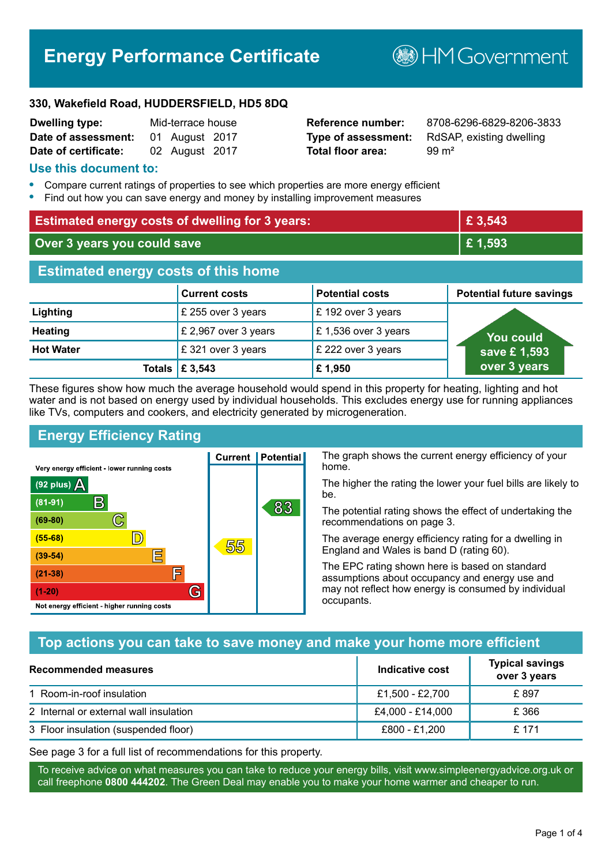# **Energy Performance Certificate**

**B**HM Government

#### **330, Wakefield Road, HUDDERSFIELD, HD5 8DQ**

| <b>Dwelling type:</b> | Mid-terrace house |                |  |
|-----------------------|-------------------|----------------|--|
| Date of assessment:   |                   | 01 August 2017 |  |
| Date of certificate:  |                   | 02 August 2017 |  |

# **Total floor area:** 99 m<sup>2</sup>

**Reference number:** 8708-6296-6829-8206-3833 **Type of assessment:** RdSAP, existing dwelling

#### **Use this document to:**

- **•** Compare current ratings of properties to see which properties are more energy efficient
- **•** Find out how you can save energy and money by installing improvement measures

| <b>Estimated energy costs of dwelling for 3 years:</b> |                           |                        | £3,543                          |
|--------------------------------------------------------|---------------------------|------------------------|---------------------------------|
| Over 3 years you could save                            |                           | £1,593                 |                                 |
| <b>Estimated energy costs of this home</b>             |                           |                        |                                 |
|                                                        | <b>Current costs</b>      | <b>Potential costs</b> | <b>Potential future savings</b> |
| Lighting                                               | £ 255 over 3 years        | £192 over 3 years      |                                 |
| <b>Heating</b>                                         | £ 2,967 over 3 years      | £1,536 over 3 years    | <b>You could</b>                |
| <b>Hot Water</b>                                       | £321 over 3 years         | £ 222 over 3 years     | save £1,593                     |
|                                                        | Totals $\mathsf{E}$ 3,543 | £1,950                 | over 3 years                    |

These figures show how much the average household would spend in this property for heating, lighting and hot water and is not based on energy used by individual households. This excludes energy use for running appliances like TVs, computers and cookers, and electricity generated by microgeneration.

**Current | Potential** 

55

# **Energy Efficiency Rating**

 $\mathbb{C}$ 

 $\mathbb{D}$ 

E

庐

G

Very energy efficient - lower running costs

R

Not energy efficient - higher running costs

 $(92$  plus)

 $(81 - 91)$ 

 $(69 - 80)$ 

 $(55-68)$ 

 $(39 - 54)$ 

 $(21-38)$ 

 $(1-20)$ 

- 70

The graph shows the current energy efficiency of your home.

The higher the rating the lower your fuel bills are likely to be.

The potential rating shows the effect of undertaking the recommendations on page 3.

The average energy efficiency rating for a dwelling in England and Wales is band D (rating 60).

The EPC rating shown here is based on standard assumptions about occupancy and energy use and may not reflect how energy is consumed by individual occupants.

# **Top actions you can take to save money and make your home more efficient**

83

| Recommended measures                   | Indicative cost  | <b>Typical savings</b><br>over 3 years |
|----------------------------------------|------------------|----------------------------------------|
| 1 Room-in-roof insulation              | £1,500 - £2,700  | £897                                   |
| 2 Internal or external wall insulation | £4,000 - £14,000 | £366                                   |
| 3 Floor insulation (suspended floor)   | £800 - £1,200    | £ 171                                  |

See page 3 for a full list of recommendations for this property.

To receive advice on what measures you can take to reduce your energy bills, visit www.simpleenergyadvice.org.uk or call freephone **0800 444202**. The Green Deal may enable you to make your home warmer and cheaper to run.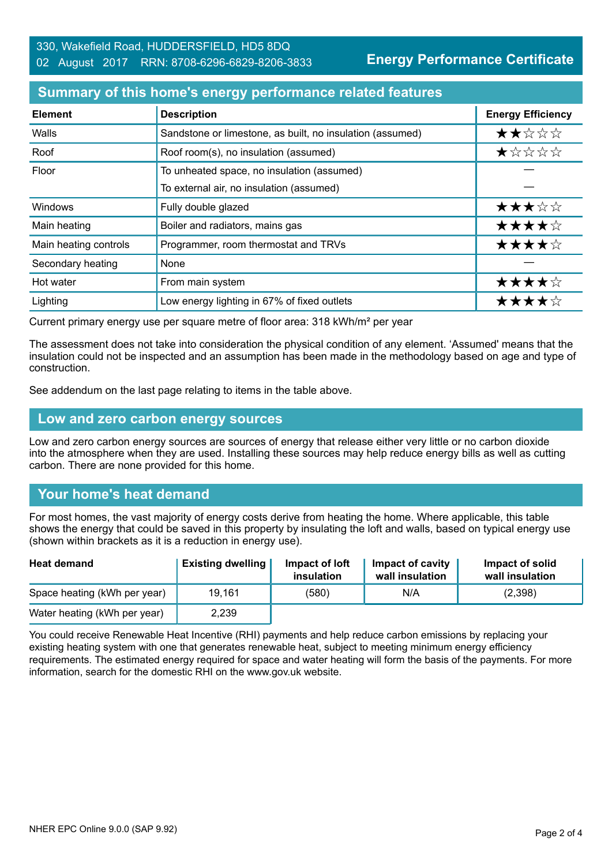**Energy Performance Certificate**

#### **Summary of this home's energy performance related features**

| <b>Element</b>        | <b>Description</b>                                        | <b>Energy Efficiency</b> |
|-----------------------|-----------------------------------------------------------|--------------------------|
| Walls                 | Sandstone or limestone, as built, no insulation (assumed) | ★★☆☆☆                    |
| Roof                  | Roof room(s), no insulation (assumed)                     | ★☆☆☆☆                    |
| Floor                 | To unheated space, no insulation (assumed)                |                          |
|                       | To external air, no insulation (assumed)                  |                          |
| Windows               | Fully double glazed                                       | ★★★☆☆                    |
| Main heating          | Boiler and radiators, mains gas                           | ★★★★☆                    |
| Main heating controls | Programmer, room thermostat and TRVs                      | ★★★★☆                    |
| Secondary heating     | None                                                      |                          |
| Hot water             | From main system                                          | ★★★★☆                    |
| Lighting              | Low energy lighting in 67% of fixed outlets               | ★★★★☆                    |

Current primary energy use per square metre of floor area: 318 kWh/m² per year

The assessment does not take into consideration the physical condition of any element. 'Assumed' means that the insulation could not be inspected and an assumption has been made in the methodology based on age and type of construction.

See addendum on the last page relating to items in the table above.

#### **Low and zero carbon energy sources**

Low and zero carbon energy sources are sources of energy that release either very little or no carbon dioxide into the atmosphere when they are used. Installing these sources may help reduce energy bills as well as cutting carbon. There are none provided for this home.

#### **Your home's heat demand**

For most homes, the vast majority of energy costs derive from heating the home. Where applicable, this table shows the energy that could be saved in this property by insulating the loft and walls, based on typical energy use (shown within brackets as it is a reduction in energy use).

| <b>Heat demand</b>           | <b>Existing dwelling</b> | Impact of loft<br>insulation | Impact of cavity<br>wall insulation | Impact of solid<br>wall insulation |
|------------------------------|--------------------------|------------------------------|-------------------------------------|------------------------------------|
| Space heating (kWh per year) | 19.161                   | (580)                        | N/A                                 | (2,398)                            |
| Water heating (kWh per year) | 2,239                    |                              |                                     |                                    |

You could receive Renewable Heat Incentive (RHI) payments and help reduce carbon emissions by replacing your existing heating system with one that generates renewable heat, subject to meeting minimum energy efficiency requirements. The estimated energy required for space and water heating will form the basis of the payments. For more information, search for the domestic RHI on the www.gov.uk website.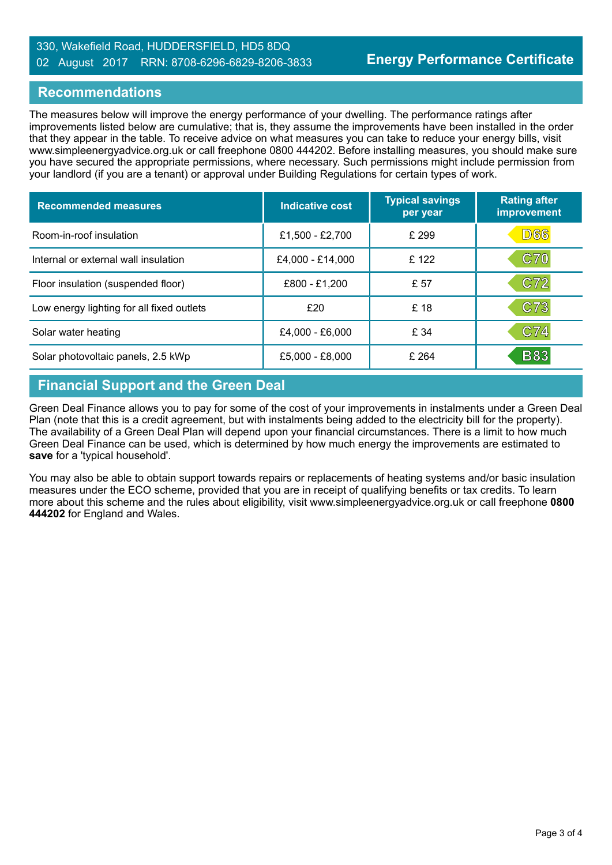#### 330, Wakefield Road, HUDDERSFIELD, HD5 8DQ 02 August 2017 RRN: 8708-6296-6829-8206-3833

### **Recommendations**

The measures below will improve the energy performance of your dwelling. The performance ratings after improvements listed below are cumulative; that is, they assume the improvements have been installed in the order that they appear in the table. To receive advice on what measures you can take to reduce your energy bills, visit www.simpleenergyadvice.org.uk or call freephone 0800 444202. Before installing measures, you should make sure you have secured the appropriate permissions, where necessary. Such permissions might include permission from your landlord (if you are a tenant) or approval under Building Regulations for certain types of work.

| <b>Recommended measures</b>               | Indicative cost  | <b>Typical savings</b><br>per year | <b>Rating after</b><br>improvement |
|-------------------------------------------|------------------|------------------------------------|------------------------------------|
| Room-in-roof insulation                   | £1,500 - £2,700  | £ 299                              | D66                                |
| Internal or external wall insulation      | £4,000 - £14,000 | £122                               | <b>C70</b>                         |
| Floor insulation (suspended floor)        | £800 - £1,200    | £ 57                               | C72                                |
| Low energy lighting for all fixed outlets | £20              | £ 18                               | C73                                |
| Solar water heating                       | £4,000 - £6,000  | £ 34                               | C74                                |
| Solar photovoltaic panels, 2.5 kWp        | £5,000 - £8,000  | £264                               | <b>B83</b>                         |

# **Financial Support and the Green Deal**

Green Deal Finance allows you to pay for some of the cost of your improvements in instalments under a Green Deal Plan (note that this is a credit agreement, but with instalments being added to the electricity bill for the property). The availability of a Green Deal Plan will depend upon your financial circumstances. There is a limit to how much Green Deal Finance can be used, which is determined by how much energy the improvements are estimated to **save** for a 'typical household'.

You may also be able to obtain support towards repairs or replacements of heating systems and/or basic insulation measures under the ECO scheme, provided that you are in receipt of qualifying benefits or tax credits. To learn more about this scheme and the rules about eligibility, visit www.simpleenergyadvice.org.uk or call freephone **0800 444202** for England and Wales.